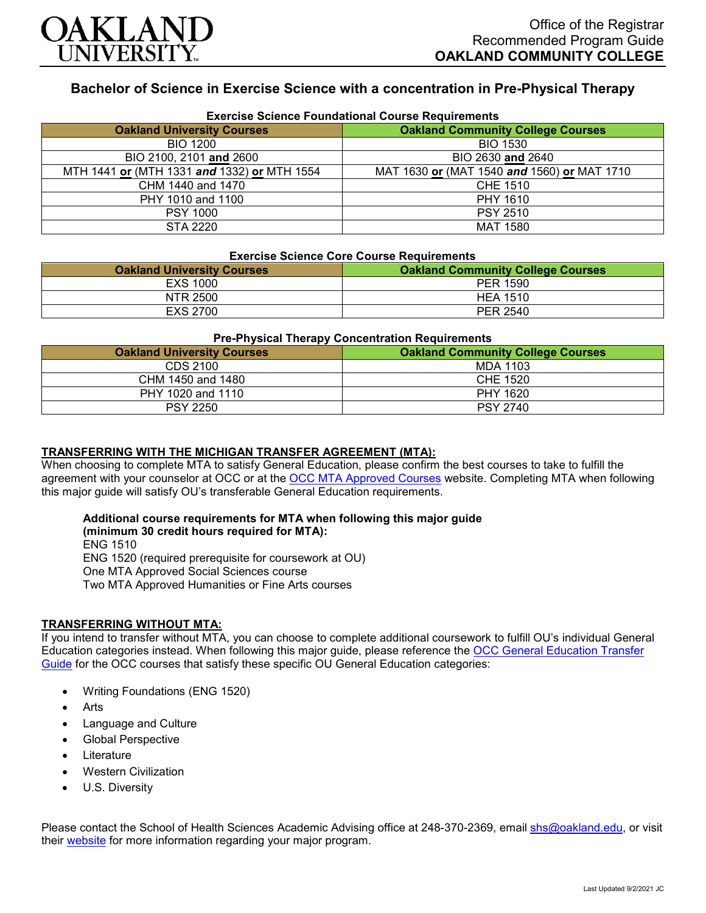

# **Bachelor of Science in Exercise Science with a concentration in Pre-Physical Therapy**

| <b>Exercise Science Foundational Course Requirements</b> |                                             |  |
|----------------------------------------------------------|---------------------------------------------|--|
| <b>Oakland University Courses</b>                        | <b>Oakland Community College Courses</b>    |  |
| <b>BIO 1200</b>                                          | <b>BIO 1530</b>                             |  |
| BIO 2100, 2101 and 2600                                  | BIO 2630 and 2640                           |  |
| MTH 1441 or (MTH 1331 and 1332) or MTH 1554              | MAT 1630 or (MAT 1540 and 1560) or MAT 1710 |  |
| CHM 1440 and 1470                                        | CHE 1510                                    |  |
| PHY 1010 and 1100                                        | PHY 1610                                    |  |
| <b>PSY 1000</b>                                          | <b>PSY 2510</b>                             |  |
| STA 2220                                                 | <b>MAT 1580</b>                             |  |

# **Exercise Science Core Course Requirements**

| <b>EXERCISE SCIENCE COTE COUTSE REQUITEMENTS</b> |                                          |  |
|--------------------------------------------------|------------------------------------------|--|
| <b>Oakland University Courses</b>                | <b>Oakland Community College Courses</b> |  |
| EXS 1000                                         | PER 1590                                 |  |
| NTR 2500                                         | <b>HEA 1510</b>                          |  |
| EXS 2700                                         | PER 2540                                 |  |

#### **Pre-Physical Therapy Concentration Requirements**

| <b>Oakland University Courses</b> | <b>Oakland Community College Courses</b> |
|-----------------------------------|------------------------------------------|
| CDS 2100                          | MDA 1103                                 |
| CHM 1450 and 1480                 | CHE 1520                                 |
| PHY 1020 and 1110                 | PHY 1620                                 |
| <b>PSY 2250</b>                   | <b>PSY 2740</b>                          |

## **TRANSFERRING WITH THE MICHIGAN TRANSFER AGREEMENT (MTA):**

When choosing to complete MTA to satisfy General Education, please confirm the best courses to take to fulfill the agreement with your counselor at OCC or at the [OCC MTA Approved Courses](http://catalog.oaklandcc.edu/graduation-requirements/michigan-transfer-agreement/) website. Completing MTA when following this major guide will satisfy OU's transferable General Education requirements.

#### **Additional course requirements for MTA when following this major guide (minimum 30 credit hours required for MTA):**

ENG 1510 ENG 1520 (required prerequisite for coursework at OU) One MTA Approved Social Sciences course Two MTA Approved Humanities or Fine Arts courses

### **TRANSFERRING WITHOUT MTA:**

If you intend to transfer without MTA, you can choose to complete additional coursework to fulfill OU's individual General Education categories instead. When following this major guide, please reference the [OCC General Education Transfer](https://www.oakland.edu/Assets/Oakland/program-guides/oakland-community-college/university-general-education-requirements/OCC%20Gen%20Ed.pdf)  [Guide](https://www.oakland.edu/Assets/Oakland/program-guides/oakland-community-college/university-general-education-requirements/OCC%20Gen%20Ed.pdf) for the OCC courses that satisfy these specific OU General Education categories:

- Writing Foundations (ENG 1520)
- **Arts**
- Language and Culture
- Global Perspective
- **Literature**
- Western Civilization
- U.S. Diversity

Please contact the School of Health Sciences Academic Advising office at 248-370-2369, email [shs@oakland.edu,](mailto:shs@oakland.edu) or visit their [website](http://www.oakland.edu/shs/advising) for more information regarding your major program.